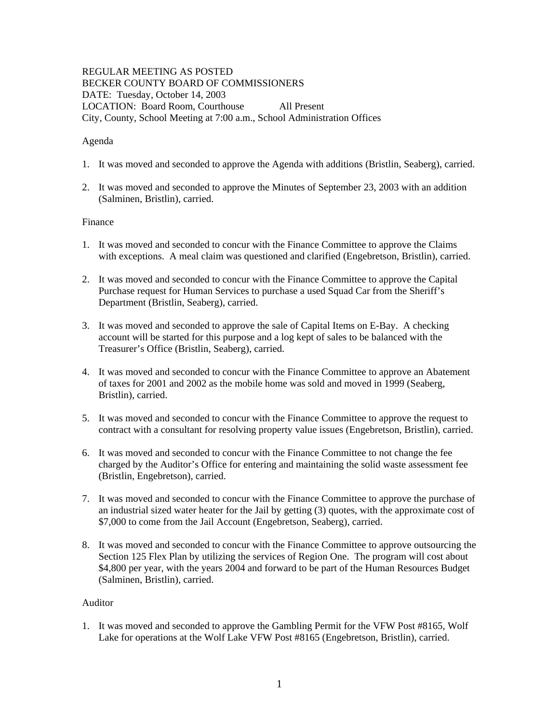## REGULAR MEETING AS POSTED BECKER COUNTY BOARD OF COMMISSIONERS DATE: Tuesday, October 14, 2003 LOCATION: Board Room, Courthouse All Present City, County, School Meeting at 7:00 a.m., School Administration Offices

# Agenda

- 1. It was moved and seconded to approve the Agenda with additions (Bristlin, Seaberg), carried.
- 2. It was moved and seconded to approve the Minutes of September 23, 2003 with an addition (Salminen, Bristlin), carried.

## Finance

- 1. It was moved and seconded to concur with the Finance Committee to approve the Claims with exceptions. A meal claim was questioned and clarified (Engebretson, Bristlin), carried.
- 2. It was moved and seconded to concur with the Finance Committee to approve the Capital Purchase request for Human Services to purchase a used Squad Car from the Sheriff's Department (Bristlin, Seaberg), carried.
- 3. It was moved and seconded to approve the sale of Capital Items on E-Bay. A checking account will be started for this purpose and a log kept of sales to be balanced with the Treasurer's Office (Bristlin, Seaberg), carried.
- 4. It was moved and seconded to concur with the Finance Committee to approve an Abatement of taxes for 2001 and 2002 as the mobile home was sold and moved in 1999 (Seaberg, Bristlin), carried.
- 5. It was moved and seconded to concur with the Finance Committee to approve the request to contract with a consultant for resolving property value issues (Engebretson, Bristlin), carried.
- 6. It was moved and seconded to concur with the Finance Committee to not change the fee charged by the Auditor's Office for entering and maintaining the solid waste assessment fee (Bristlin, Engebretson), carried.
- 7. It was moved and seconded to concur with the Finance Committee to approve the purchase of an industrial sized water heater for the Jail by getting (3) quotes, with the approximate cost of \$7,000 to come from the Jail Account (Engebretson, Seaberg), carried.
- 8. It was moved and seconded to concur with the Finance Committee to approve outsourcing the Section 125 Flex Plan by utilizing the services of Region One. The program will cost about \$4,800 per year, with the years 2004 and forward to be part of the Human Resources Budget (Salminen, Bristlin), carried.

## Auditor

1. It was moved and seconded to approve the Gambling Permit for the VFW Post #8165, Wolf Lake for operations at the Wolf Lake VFW Post #8165 (Engebretson, Bristlin), carried.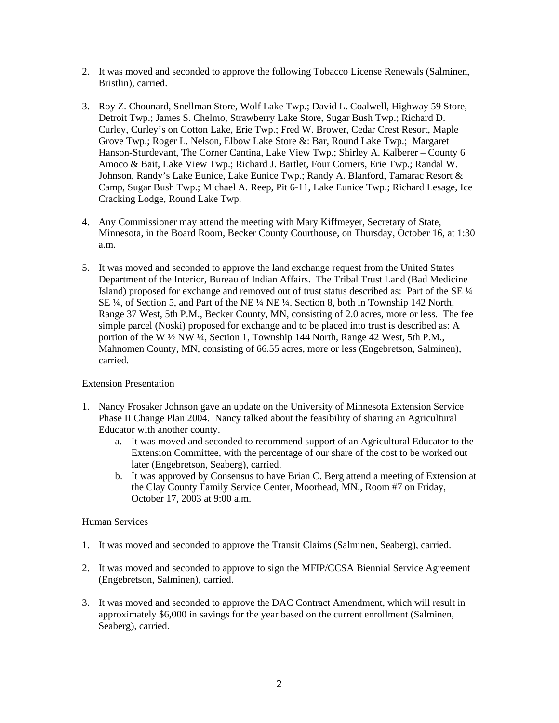- 2. It was moved and seconded to approve the following Tobacco License Renewals (Salminen, Bristlin), carried.
- 3. Roy Z. Chounard, Snellman Store, Wolf Lake Twp.; David L. Coalwell, Highway 59 Store, Detroit Twp.; James S. Chelmo, Strawberry Lake Store, Sugar Bush Twp.; Richard D. Curley, Curley's on Cotton Lake, Erie Twp.; Fred W. Brower, Cedar Crest Resort, Maple Grove Twp.; Roger L. Nelson, Elbow Lake Store &: Bar, Round Lake Twp.; Margaret Hanson-Sturdevant, The Corner Cantina, Lake View Twp.; Shirley A. Kalberer – County 6 Amoco & Bait, Lake View Twp.; Richard J. Bartlet, Four Corners, Erie Twp.; Randal W. Johnson, Randy's Lake Eunice, Lake Eunice Twp.; Randy A. Blanford, Tamarac Resort & Camp, Sugar Bush Twp.; Michael A. Reep, Pit 6-11, Lake Eunice Twp.; Richard Lesage, Ice Cracking Lodge, Round Lake Twp.
- 4. Any Commissioner may attend the meeting with Mary Kiffmeyer, Secretary of State, Minnesota, in the Board Room, Becker County Courthouse, on Thursday, October 16, at 1:30 a.m.
- 5. It was moved and seconded to approve the land exchange request from the United States Department of the Interior, Bureau of Indian Affairs. The Tribal Trust Land (Bad Medicine Island) proposed for exchange and removed out of trust status described as: Part of the SE ¼ SE ¼, of Section 5, and Part of the NE ¼ NE ¼. Section 8, both in Township 142 North, Range 37 West, 5th P.M., Becker County, MN, consisting of 2.0 acres, more or less. The fee simple parcel (Noski) proposed for exchange and to be placed into trust is described as: A portion of the W  $\frac{1}{2}$  NW  $\frac{1}{4}$ , Section 1, Township 144 North, Range 42 West, 5th P.M., Mahnomen County, MN, consisting of 66.55 acres, more or less (Engebretson, Salminen), carried.

## Extension Presentation

- 1. Nancy Frosaker Johnson gave an update on the University of Minnesota Extension Service Phase II Change Plan 2004. Nancy talked about the feasibility of sharing an Agricultural Educator with another county.
	- a. It was moved and seconded to recommend support of an Agricultural Educator to the Extension Committee, with the percentage of our share of the cost to be worked out later (Engebretson, Seaberg), carried.
	- b. It was approved by Consensus to have Brian C. Berg attend a meeting of Extension at the Clay County Family Service Center, Moorhead, MN., Room #7 on Friday, October 17, 2003 at 9:00 a.m.

## Human Services

- 1. It was moved and seconded to approve the Transit Claims (Salminen, Seaberg), carried.
- 2. It was moved and seconded to approve to sign the MFIP/CCSA Biennial Service Agreement (Engebretson, Salminen), carried.
- 3. It was moved and seconded to approve the DAC Contract Amendment, which will result in approximately \$6,000 in savings for the year based on the current enrollment (Salminen, Seaberg), carried.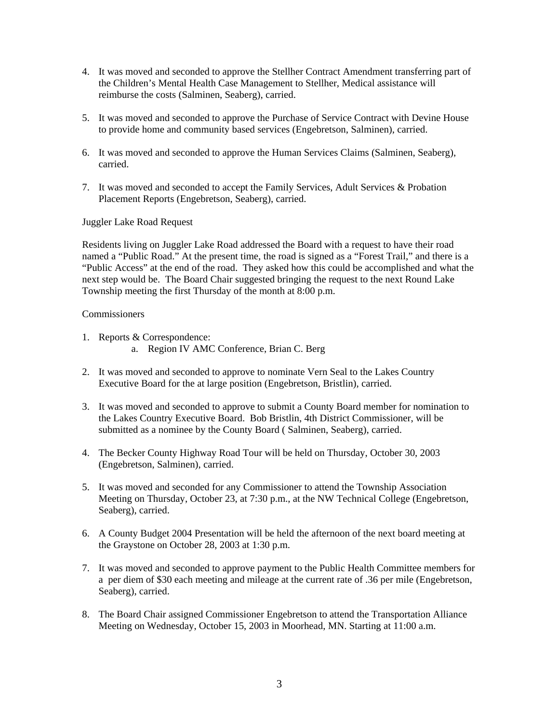- 4. It was moved and seconded to approve the Stellher Contract Amendment transferring part of the Children's Mental Health Case Management to Stellher, Medical assistance will reimburse the costs (Salminen, Seaberg), carried.
- 5. It was moved and seconded to approve the Purchase of Service Contract with Devine House to provide home and community based services (Engebretson, Salminen), carried.
- 6. It was moved and seconded to approve the Human Services Claims (Salminen, Seaberg), carried.
- 7. It was moved and seconded to accept the Family Services, Adult Services & Probation Placement Reports (Engebretson, Seaberg), carried.

## Juggler Lake Road Request

Residents living on Juggler Lake Road addressed the Board with a request to have their road named a "Public Road." At the present time, the road is signed as a "Forest Trail," and there is a "Public Access" at the end of the road. They asked how this could be accomplished and what the next step would be. The Board Chair suggested bringing the request to the next Round Lake Township meeting the first Thursday of the month at 8:00 p.m.

#### **Commissioners**

- 1. Reports & Correspondence:
	- a. Region IV AMC Conference, Brian C. Berg
- 2. It was moved and seconded to approve to nominate Vern Seal to the Lakes Country Executive Board for the at large position (Engebretson, Bristlin), carried.
- 3. It was moved and seconded to approve to submit a County Board member for nomination to the Lakes Country Executive Board. Bob Bristlin, 4th District Commissioner, will be submitted as a nominee by the County Board ( Salminen, Seaberg), carried.
- 4. The Becker County Highway Road Tour will be held on Thursday, October 30, 2003 (Engebretson, Salminen), carried.
- 5. It was moved and seconded for any Commissioner to attend the Township Association Meeting on Thursday, October 23, at 7:30 p.m., at the NW Technical College (Engebretson, Seaberg), carried.
- 6. A County Budget 2004 Presentation will be held the afternoon of the next board meeting at the Graystone on October 28, 2003 at 1:30 p.m.
- 7. It was moved and seconded to approve payment to the Public Health Committee members for a per diem of \$30 each meeting and mileage at the current rate of .36 per mile (Engebretson, Seaberg), carried.
- 8. The Board Chair assigned Commissioner Engebretson to attend the Transportation Alliance Meeting on Wednesday, October 15, 2003 in Moorhead, MN. Starting at 11:00 a.m.